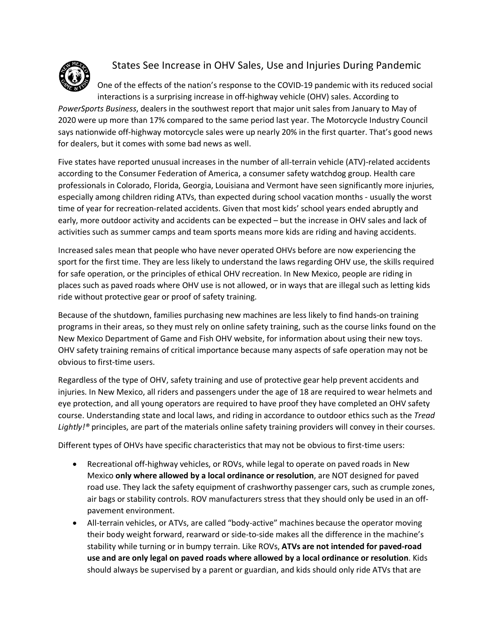

## States See Increase in OHV Sales, Use and Injuries During Pandemic

One of the effects of the nation's response to the COVID-19 pandemic with its reduced social interactions is a surprising increase in off-highway vehicle (OHV) sales. According to

*PowerSports Business*, dealers in the southwest report that major unit sales from January to May of 2020 were up more than 17% compared to the same period last year. The Motorcycle Industry Council says nationwide off-highway motorcycle sales were up nearly 20% in the first quarter. That's good news for dealers, but it comes with some bad news as well.

Five states have reported unusual increases in the number of all-terrain vehicle (ATV)-related accidents according to the Consumer Federation of America, a consumer safety watchdog group. Health care professionals in Colorado, Florida, Georgia, Louisiana and Vermont have seen significantly more injuries, especially among children riding ATVs, than expected during school vacation months - usually the worst time of year for recreation-related accidents. Given that most kids' school years ended abruptly and early, more outdoor activity and accidents can be expected – but the increase in OHV sales and lack of activities such as summer camps and team sports means more kids are riding and having accidents.

Increased sales mean that people who have never operated OHVs before are now experiencing the sport for the first time. They are less likely to understand the laws regarding OHV use, the skills required for safe operation, or the principles of ethical OHV recreation. In New Mexico, people are riding in places such as paved roads where OHV use is not allowed, or in ways that are illegal such as letting kids ride without protective gear or proof of safety training.

Because of the shutdown, families purchasing new machines are less likely to find hands-on training programs in their areas, so they must rely on online safety training, such as the course links found on the New Mexico Department of Game and Fish OHV website, for information about using their new toys. OHV safety training remains of critical importance because many aspects of safe operation may not be obvious to first-time users.

Regardless of the type of OHV, safety training and use of protective gear help prevent accidents and injuries. In New Mexico, all riders and passengers under the age of 18 are required to wear helmets and eye protection, and all young operators are required to have proof they have completed an OHV safety course. Understanding state and local laws, and riding in accordance to outdoor ethics such as the *Tread Lightly!®* principles, are part of the materials online safety training providers will convey in their courses.

Different types of OHVs have specific characteristics that may not be obvious to first-time users:

- Recreational off-highway vehicles, or ROVs, while legal to operate on paved roads in New Mexico **only where allowed by a local ordinance or resolution**, are NOT designed for paved road use. They lack the safety equipment of crashworthy passenger cars, such as crumple zones, air bags or stability controls. ROV manufacturers stress that they should only be used in an offpavement environment.
- All-terrain vehicles, or ATVs, are called "body-active" machines because the operator moving their body weight forward, rearward or side-to-side makes all the difference in the machine's stability while turning or in bumpy terrain. Like ROVs, **ATVs are not intended for paved-road use and are only legal on paved roads where allowed by a local ordinance or resolution**. Kids should always be supervised by a parent or guardian, and kids should only ride ATVs that are